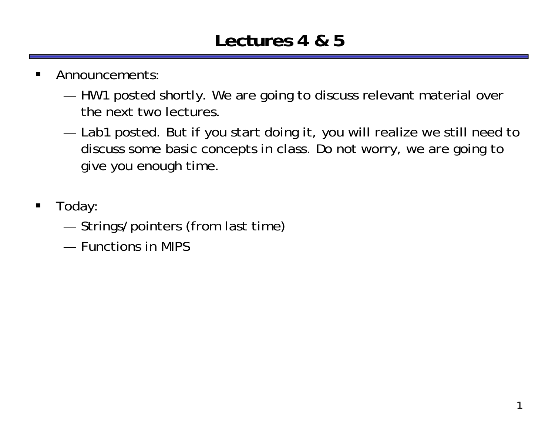#### **Lectures 4 & 5**

- $\blacksquare$  Announcements:
	- ————— HW1 posted shortly. We are going to discuss relevant material over the next two lectures.
	- ————— Lab1 posted. But if you start doing it, you will realize we still need to discuss some basic concepts in class. Do not worry, we are going to give you enough time.
- $\blacksquare$  Today:
	- —Strings/pointers (from last time)
	- Functions in MIPS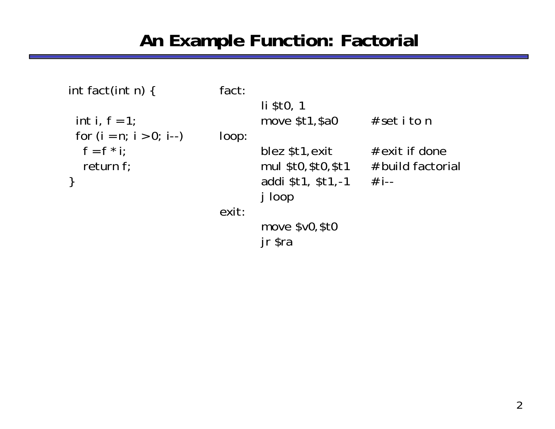#### An Example Function: Factorial

```
int fact(int n) {
 int i, f = 1;
 for (i = n; i > 0; i--)f = f * i;return f;
\}
```
fact:

```
li $t0, 1
       move $t1, $a0
                          # set i to n
loop:
       blez $t1, exit
                         # exit if done
       mul $t0,$t0,$t1 # build factorial
       addi $t1, $t1,-1 # i--
       j loop
exit:
       move $v0, $t0
       jr $ra
```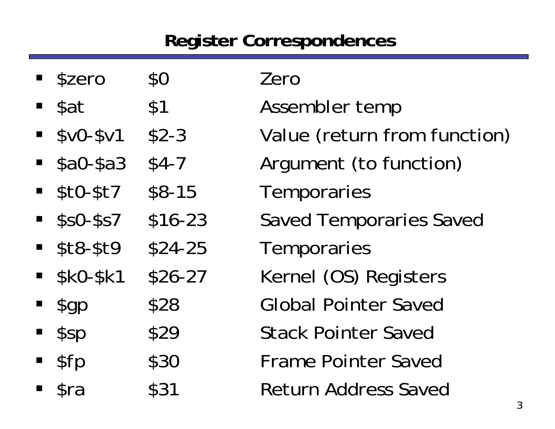## **Register Correspondences**

| <b>Szero</b>                | \$0      | Zero                           |
|-----------------------------|----------|--------------------------------|
| $\blacksquare$ \$at         | \$1      | Assembler temp                 |
| $-$ \$v0-\$v1               | $$2-3$   | Value (return from function)   |
| $$a0-$a3$                   | $$4-7$   | Argument (to function)         |
| $- $t0- $t7$                | $$8-15$  | Temporaries                    |
| $\blacksquare$ \$s0-\$s7    | $$16-23$ | <b>Saved Temporaries Saved</b> |
| $- $t8- $t9$                | $$24-25$ | Temporaries                    |
| $-$ \$kO-\$k1               | $$26-27$ | Kernel (OS) Registers          |
| $\mathcal{L}$ gp            | \$28     | <b>Global Pointer Saved</b>    |
| \$sp                        | \$29     | <b>Stack Pointer Saved</b>     |
| \$fp                        | \$30     | <b>Frame Pointer Saved</b>     |
| $\blacksquare$ $\text{Sra}$ | \$31     | <b>Return Address Saved</b>    |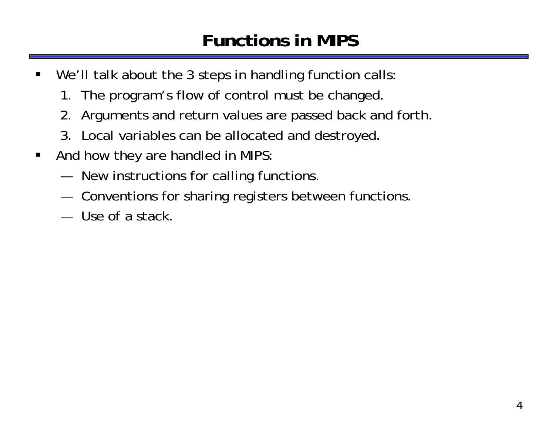## **Functions in MIPS**

- $\blacksquare$ We'll talk about the 3 steps in handling function calls:
	- 1. The program's flow of control must be changed.
	- 2. Arguments and return values are passed back and forth.
	- 3. Local variables can be allocated and destroyed.
- $\blacksquare$  And how they are handled in MIPS:
	- —New instructions for calling functions.
	- —Conventions for sharing registers between functions.
	- ————— Use of a stack.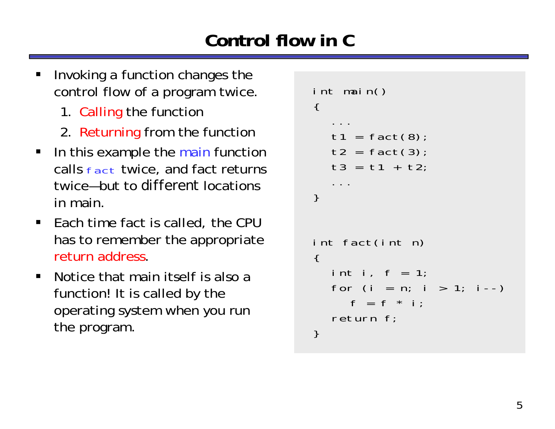## **Control flow in C**

- ш Invoking a function changes the control flow of a program twice.
	- 1. Calling the function
	- 2. Returning from the functior
- In this example the main function calls fact twice, and fact returns twice—but to *different* locations in main.
- $\blacksquare$  Each time fact is called, the CPU has to remember the appropriate return address.
- $\blacksquare$  Notice that main itself is also a function! It is called by the operating system when you run the program.

```
int main()
{
   ...t1 = fact(8);t2 = \text{fact}(3);t3 = t1 + t2;...
}
int fact(int n)
{
  int i, f = 1;
  for (i = n; i > 1; i--)f = f * i;
  return f;
}
```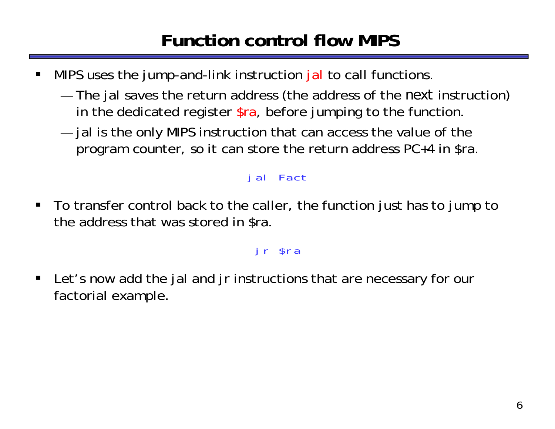## **Function control flow MIPS**

- ш MIPS uses the jump-and-link instruction jal to call functions.
	- ————— The jal saves the return address (the address of the *next* instruction) in the dedicated register  $\frac{1}{2}$ ra, before jumping to the function.
	- ———— jal is the only MIPS instruction that can access the value of the program counter, so it can store the return address PC+4 in \$ra.

#### jal Fact

 $\blacksquare$  To transfer control back to the caller, the function just has to jump to the address that was stored in \$ra.

#### jr \$ra

 $\blacksquare$  Let's now add the jal and jr instructions that are necessary for our factorial example.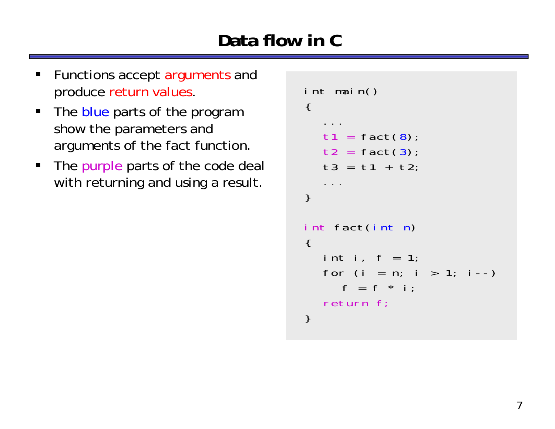# **Data flow in C**

- $\blacksquare$  Functions accept arguments and produce return values.
- The blue parts of the program show the parameters and arguments of the fact function.
- $\blacksquare$  . The purple parts of the code deal with returning and using a result.

```
int main()
\{...t1 = \text{fact}(8)t2 = \text{fact}(3)t3 = t1 + t2;...
}
int fact(int n)
\{int i, f = 1;
  for (i = n; i > 1; i--)f = f * i;return f;
}
```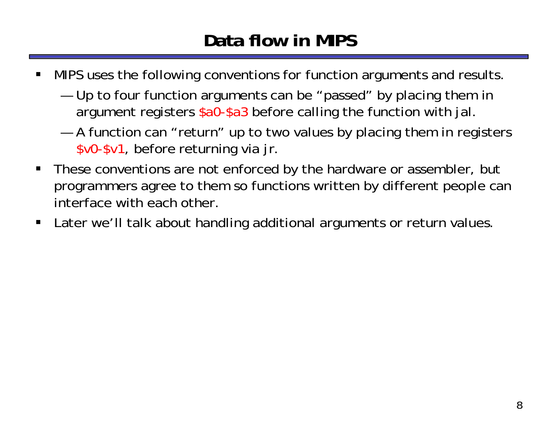## **Data flow in MIPS**

- ш MIPS uses the following conventions for function arguments and results.
	- ————— Up to four function arguments can be "passed" by placing them in argument registers \$a0-\$a3 before calling the function with jal.
	- ————— A function can "return" up to two values by placing them in registers \$v0-\$v1, before returning via jr.
- П These conventions are not enforced by the hardware or assembler, but programmers agree to them so functions written by different people can interface with each other.
- $\blacksquare$ Later we'll talk about handling additional arguments or return values.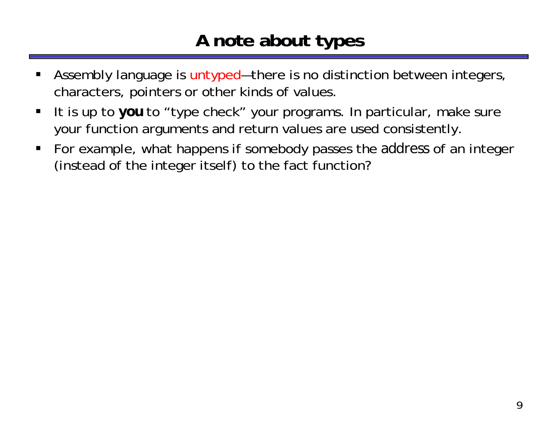#### **A note about types**

- ш Assembly language is untyped—there is no distinction between integers, characters, pointers or other kinds of values.
- $\blacksquare$  It is up to *you* to "type check" your programs. In particular, make sure your function arguments and return values are used consistently.
- $\blacksquare$  For example, what happens if somebody passes the *address* of an integer (instead of the integer itself) to the fact function?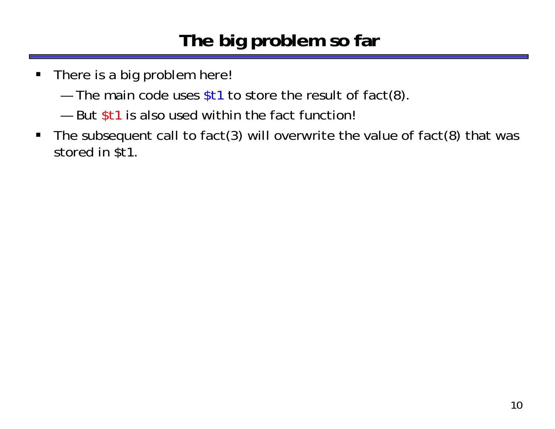## **The big problem so far**

- $\blacksquare$  There is a big problem here!
	- $-$  The main code uses \$t1 to store the result of fact(8).
	- But \$t1 is also used within the fact function!
- $\blacksquare$  The subsequent call to fact(3) will overwrite the value of fact(8) that was stored in \$t1.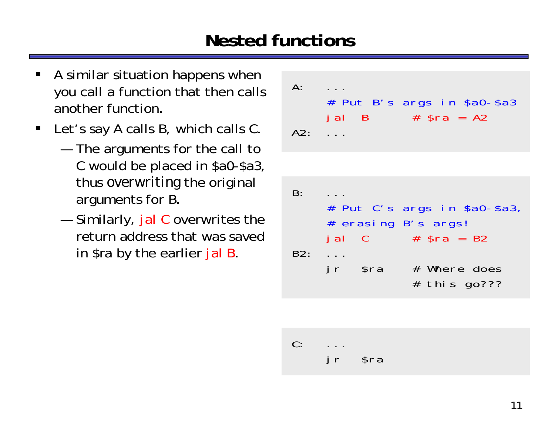## **Nested functions**

- ш A similar situation happens when you call a function that then calls another function.
- $\blacksquare$  Let's say A calls B, which calls C.
	- ————— The arguments for the call to C would be placed in \$a0-\$a3, thus *overwriting* the original arguments for B.
	- — Similarly, jal C overwrites the return address that was saved in \$ra by the earlier jal B.

```
A:
    # Put B's args in $a0-$a3
    jal B # $ra = A2A2:B:# Put C's args in $a0-$a3,
    # erasing B's args!
    jal C # $ra = B2
B2: ...jr $ra # Where does
              # this go???
```
C: ...jr \$ra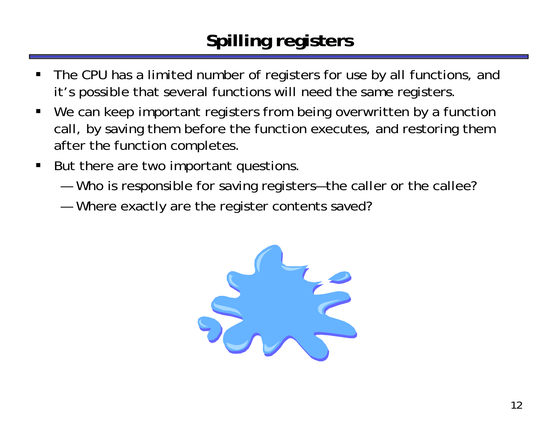# **Spilling registers**

- ш The CPU has a limited number of registers for use by all functions, and it's possible that several functions will need the same registers.
- $\blacksquare$ We can keep important registers from being overwritten by a function call, by saving them before the function executes, and restoring them after the function completes.
- $\blacksquare$  But there are two important questions.
	- —Who is responsible for saving registers—the caller or the callee?
	- —Where exactly are the register contents saved?

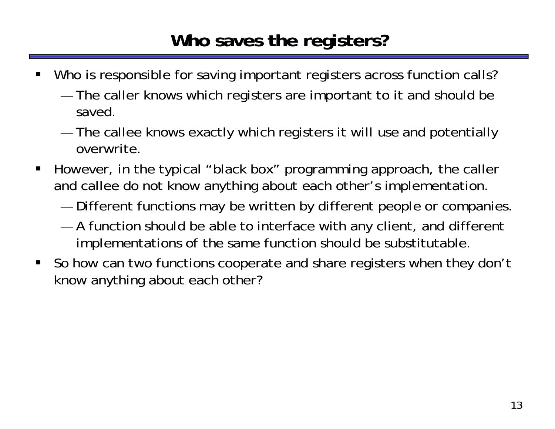#### **Who saves the registers?**

- ш Who is responsible for saving important registers across function calls?
	- ————— The caller knows which registers are important to it and should be saved.
	- ————— The callee knows exactly which registers it will use and potentially overwrite.
- $\blacksquare$  However, in the typical "black box" programming approach, the caller and callee do not know anything about each other's implementation.
	- —Different functions may be written by different people or companies.
	- — A function should be able to interface with any client, and different implementations of the same function should be substitutable.
- П So how can two functions cooperate and share registers when they don't know anything about each other?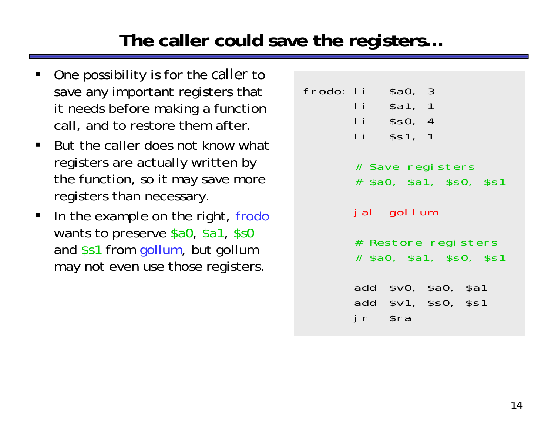#### **The caller could save the registers…**

- ш One possibility is for the *caller* to save any important registers that it needs before making a function call, and to restore them after.
- But the caller does not know what registers are actually written by the function, so it may save more registers than necessary.
- $\blacksquare$  In the example on the right, frodo wants to preserve \$a0, \$a1, \$s0 and \$s1 from gollum, but gollum may not even use those registers.

frodo: li \$a0, 3 li \$a1, 1 li \$s0, 4 li \$s1, 1

- # Save registers
- # \$a0, \$a1, \$s0, \$s1
- jal gollum
- # Restore registers
- # \$a0, \$a1, \$s0, \$s1

add \$v0, \$a0, \$a1 add \$v1, \$s0, \$s1 jr \$ra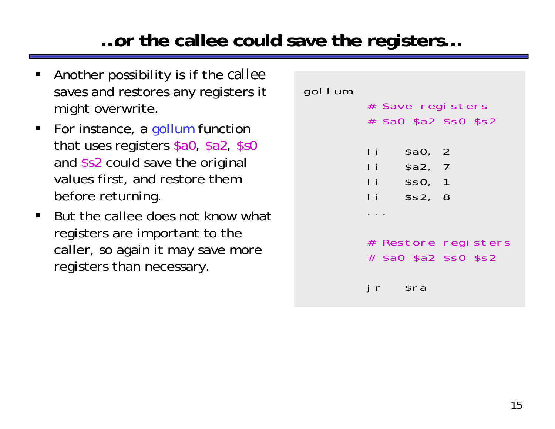#### ...or the callee could save the registers...

- Another possibility is if the callee saves and restores any registers it might overwrite.
- For instance, a gollum function that uses registers \$a0, \$a2, \$s0 and \$s2 could save the original values first, and restore them before returning.
- But the callee does not know what  $\blacksquare$ registers are important to the caller, so again it may save more registers than necessary.

gol I um:

| l i          | \$a0, 2            |  |
|--------------|--------------------|--|
| $\mathbf{I}$ | \$a2, 7            |  |
| Πi<br>Ιi     | \$SO, 1<br>\$s2, 8 |  |
|              |                    |  |

 $s<sub>ra</sub>$ 

jr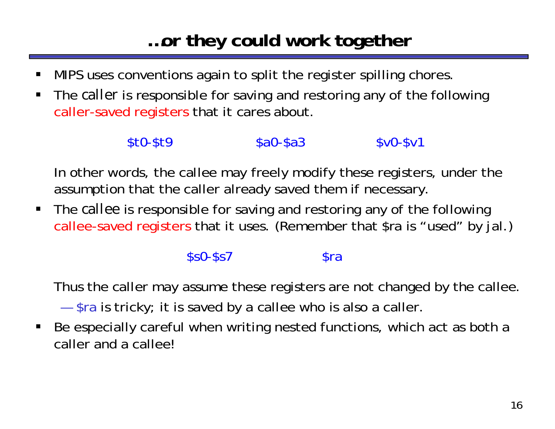## **…or they could work together**

- $\blacksquare$ MIPS uses conventions again to split the register spilling chores.
- $\blacksquare$  The *caller* is responsible for saving and restoring any of the following caller-saved registers that it cares about.

#### \$t0-\$t9 \$a0-\$a3 \$v0-\$v1

In other words, the callee may freely modify these registers, under the assumption that the caller already saved them if necessary.

 $\blacksquare$  The *callee* is responsible for saving and restoring any of the following callee-saved registers that it uses. (Remember that \$ra is "used" by jal.)

#### $$s0-$ \$s7  $$ra$

Thus the caller may assume these registers are not changed by the callee.

—\$ra is tricky; it is saved by a callee who is also a caller.

 $\blacksquare$  Be especially careful when writing nested functions, which act as both a caller and a callee!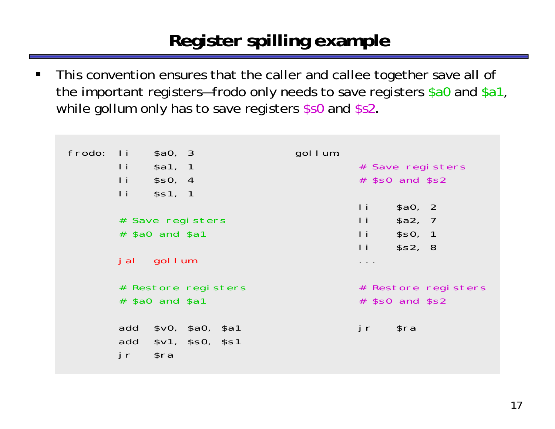## Register spilling example

This convention ensures that the caller and callee together save all of  $\blacksquare$ the important registers-frodo only needs to save registers \$a0 and \$a1, while gollum only has to save registers \$s0 and \$s2.

| frodo: | \$a0, 3<br>$\blacksquare$<br>$\mathbf{I}$<br>\$a1, 1<br> i <br>\$SO, 4<br> i <br>\$s1, 1 | gol I um: | # Save registers<br>$#$ \$s0 and \$s2                                                 |
|--------|------------------------------------------------------------------------------------------|-----------|---------------------------------------------------------------------------------------|
|        | # Save registers<br>$#$ \$a0 and \$a1                                                    |           | Ιi<br>\$a0, 2<br>$\mathbf{I}$<br>\$a2, 7<br>$\mathbf{I}$<br>\$SO, 1<br>l i<br>\$s2, 8 |
|        | gol I um<br>j al                                                                         |           | $\cdots$                                                                              |
|        | # Restore registers<br>$#$ \$a0 and \$a1                                                 |           | # Restore registers<br>$#$ \$s0 and \$s2                                              |
|        | add<br>\$v0, \$a0, \$a1<br>add \$v1, \$s0, \$s1<br>\$ra<br>jr                            |           | \$ra<br>j r                                                                           |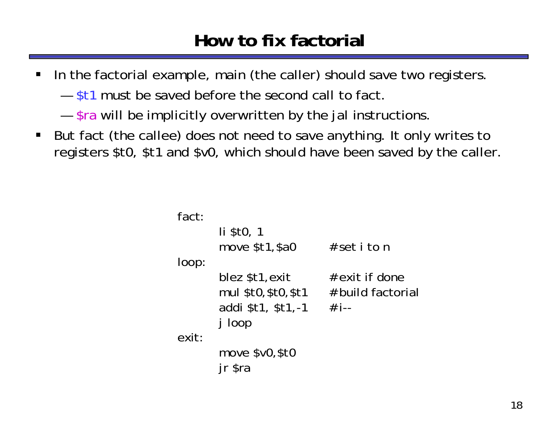#### **How to fix factorial**

- $\blacksquare$  In the factorial example, main (the caller) should save two registers.
	- \$t1 must be saved before the second call to fact.
	- —————  $-$  \$ra will be implicitly overwritten by the jal instructions.
- $\blacksquare$  But fact (the callee) does not need to save anything. It only writes to registers \$t0, \$t1 and \$v0, which should have been saved by the caller.

```
fact:li $t0, 1
       move $t1,$a0 # set i to n
loop:
       blez $t1,exit # exit if done
       mul $t0, $t0, $t1 # build factorial
       addi $t1, $t1, -1 # i--
      j loop
exit:move $v0,$t0
      jr $ra
```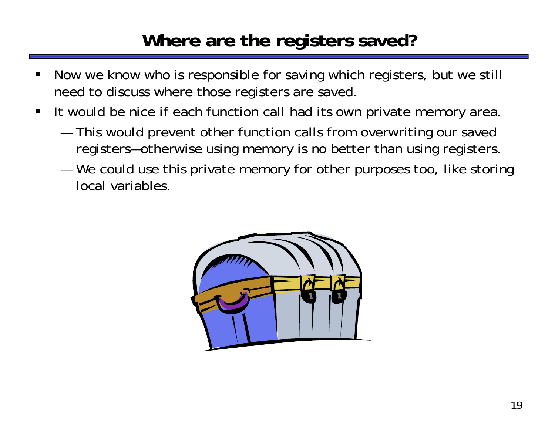#### **Where are the registers saved?**

- ш Now we know who is responsible for saving which registers, but we still need to discuss where those registers are saved.
- $\blacksquare$  It would be nice if each function call had its own private memory area.
	- ————— This would prevent other function calls from overwriting our saved registers—otherwise using memory is no better than using registers.
	- — We could use this private memory for other purposes too, like storing local variables.

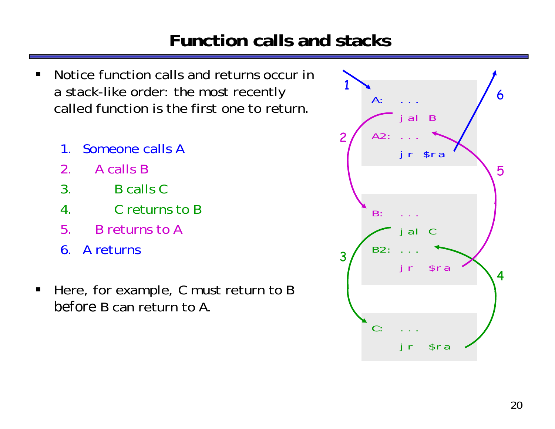#### **Function calls and stacks**

- Notice function calls and returns occur in  $\blacksquare$ a stack-like order: the most recently called function is the first one to return.
	- Someone calls A  $\mathbf 1$
	- $2<sub>1</sub>$ A calls B
	- $3.$ **B** calls C
	- 4. Creturns to B
	- 5. B returns to A
	- 6. A returns
- Here, for example, C must return to B  $\blacksquare$ before B can return to A.

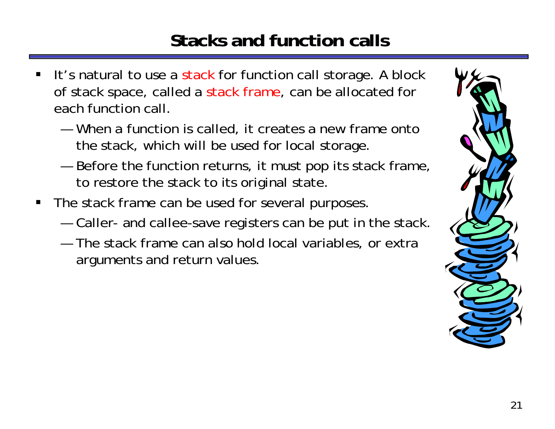## **Stacks and function calls**

- ш It's natural to use a stack for function call storage. A block of stack space, called a stack frame, can be allocated for each function call.
	- When a function is called, it creates a new frame onto the stack, which will be used for local storage.
	- ————— Before the function returns, it must pop its stack frame, to restore the stack to its original state.
- П The stack frame can be used for several purposes.
	- —Caller- and callee-save registers can be put in the stack.
	- The stack frame can also hold local variables, or extra arguments and return values.

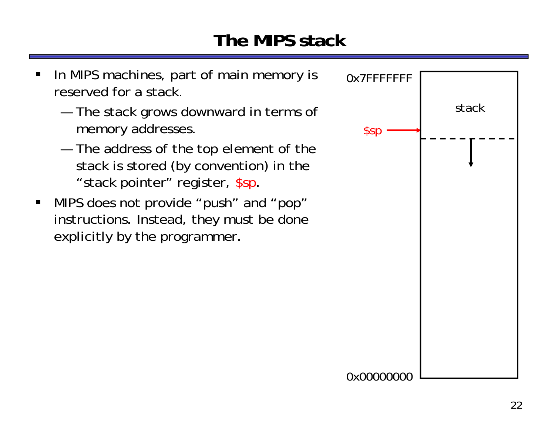## **The MIPS stack**

ш

 $\blacksquare$ 

—————

—————

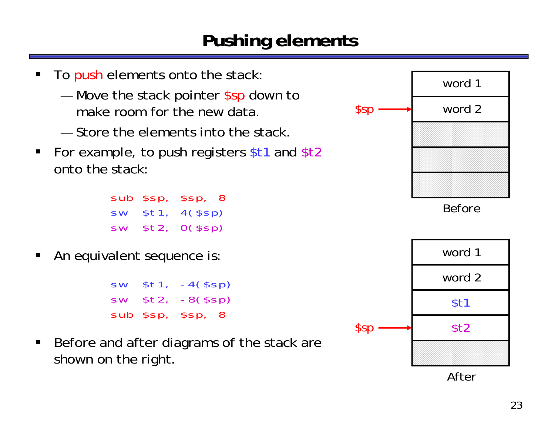#### **Pushing elements**

ш

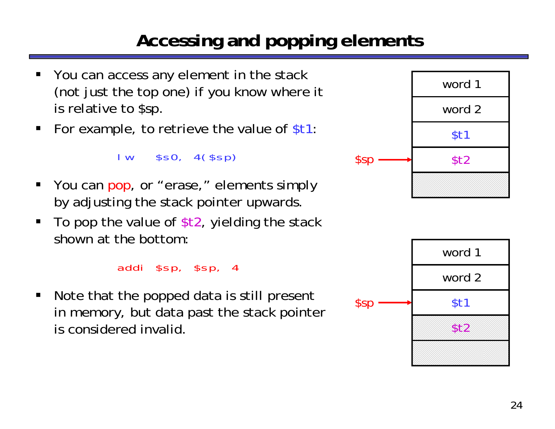# **Accessing and popping elements**

- ш You can access any element in the stack (not just the top one) if you know where it is relative to \$sp.
- For example, to retrieve the value of \$t1:

lw \$s0, 4(\$sp)

- П You can pop, or "erase," elements simply by adjusting the stack pointer upwards.
- $\blacksquare$ To pop the value of  $$t2$ , yielding the stack shown at the bottom:

addi \$sp, \$sp, 4

 $\blacksquare$  Note that the popped data is still present in memory, but data past the stack pointer is considered invalid.